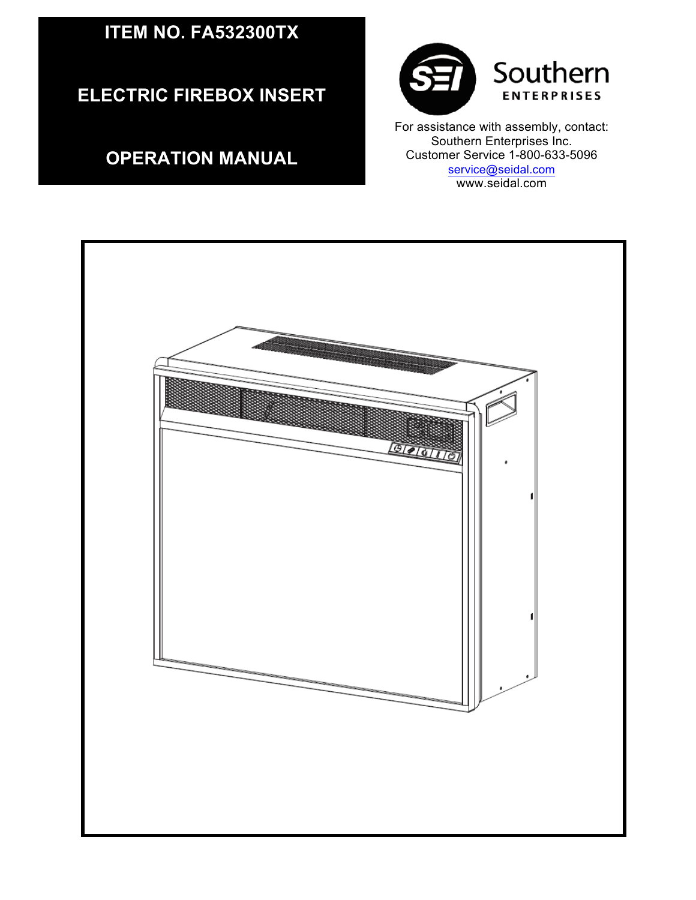## **ITEM NO. FA532300TX**

**ELECTRIC FIREBOX INSERT**

## **OPERATION MANUAL**



 Customer Service 1-800-633-5096 For assistance with assembly, contact: Southern Enterprises Inc. service@seidal.com www.seidal.com

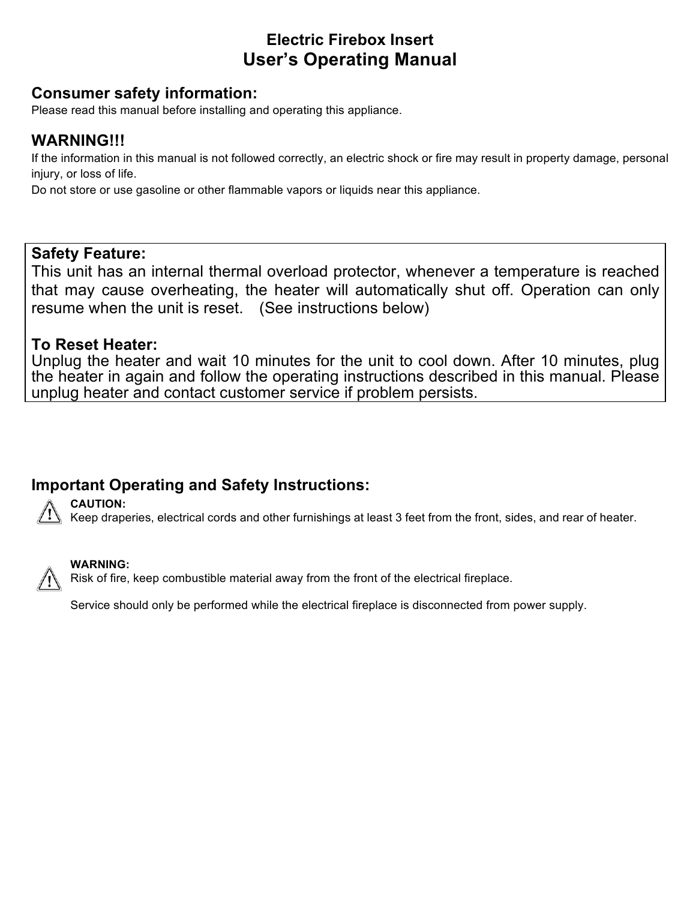## **Electric Firebox Insert User's Operating Manual**

## **Consumer safety information:**

Please read this manual before installing and operating this appliance.

## **WARNING!!!**

If the information in this manual is not followed correctly, an electric shock or fire may result in property damage, personal injury, or loss of life.

Do not store or use gasoline or other flammable vapors or liquids near this appliance.

### **Safety Feature:**

This unit has an internal thermal overload protector, whenever a temperature is reached that may cause overheating, the heater will automatically shut off. Operation can only resume when the unit is reset. (See instructions below)

### **To Reset Heater:**

Unplug the heater and wait 10 minutes for the unit to cool down. After 10 minutes, plug the heater in again and follow the operating instructions described in this manual. Please unplug heater and contact customer service if problem persists.

## **Important Operating and Safety Instructions:**



**CAUTION:**

Keep draperies, electrical cords and other furnishings at least 3 feet from the front, sides, and rear of heater.



#### **WARNING:**

Risk of fire, keep combustible material away from the front of the electrical fireplace.

Service should only be performed while the electrical fireplace is disconnected from power supply.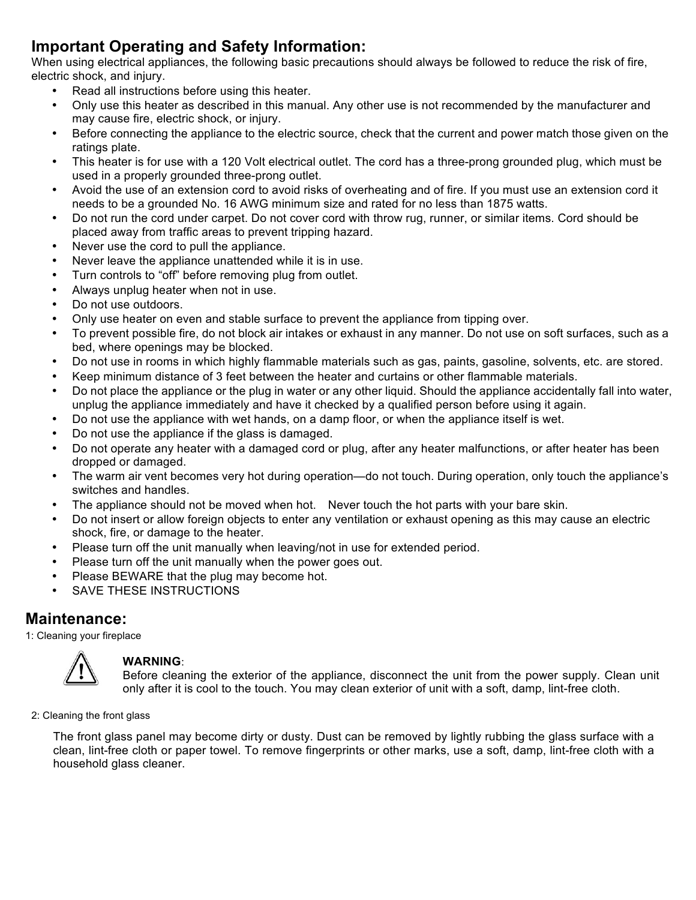## **Important Operating and Safety Information:**

When using electrical appliances, the following basic precautions should always be followed to reduce the risk of fire, electric shock, and injury.

- Read all instructions before using this heater.
- Only use this heater as described in this manual. Any other use is not recommended by the manufacturer and may cause fire, electric shock, or injury.
- Before connecting the appliance to the electric source, check that the current and power match those given on the ratings plate.
- This heater is for use with a 120 Volt electrical outlet. The cord has a three-prong grounded plug, which must be used in a properly grounded three-prong outlet.
- Avoid the use of an extension cord to avoid risks of overheating and of fire. If you must use an extension cord it needs to be a grounded No. 16 AWG minimum size and rated for no less than 1875 watts.
- Do not run the cord under carpet. Do not cover cord with throw rug, runner, or similar items. Cord should be placed away from traffic areas to prevent tripping hazard.
- Never use the cord to pull the appliance.
- Never leave the appliance unattended while it is in use.
- Turn controls to "off" before removing plug from outlet.
- Always unplug heater when not in use.
- Do not use outdoors.
- Only use heater on even and stable surface to prevent the appliance from tipping over.
- To prevent possible fire, do not block air intakes or exhaust in any manner. Do not use on soft surfaces, such as a bed, where openings may be blocked.
- Do not use in rooms in which highly flammable materials such as gas, paints, gasoline, solvents, etc. are stored.
- Keep minimum distance of 3 feet between the heater and curtains or other flammable materials.
- Do not place the appliance or the plug in water or any other liquid. Should the appliance accidentally fall into water, unplug the appliance immediately and have it checked by a qualified person before using it again.
- Do not use the appliance with wet hands, on a damp floor, or when the appliance itself is wet.
- Do not use the appliance if the glass is damaged.
- Do not operate any heater with a damaged cord or plug, after any heater malfunctions, or after heater has been dropped or damaged.
- The warm air vent becomes very hot during operation—do not touch. During operation, only touch the appliance's switches and handles.
- The appliance should not be moved when hot. Never touch the hot parts with your bare skin.
- Do not insert or allow foreign objects to enter any ventilation or exhaust opening as this may cause an electric shock, fire, or damage to the heater.
- Please turn off the unit manually when leaving/not in use for extended period.
- Please turn off the unit manually when the power goes out.
- Please BEWARE that the plug may become hot.
- SAVE THESE INSTRUCTIONS

#### **Maintenance:**

1: Cleaning your fireplace



#### **WARNING**:

Before cleaning the exterior of the appliance, disconnect the unit from the power supply. Clean unit only after it is cool to the touch. You may clean exterior of unit with a soft, damp, lint-free cloth.

2: Cleaning the front glass

The front glass panel may become dirty or dusty. Dust can be removed by lightly rubbing the glass surface with a clean, lint-free cloth or paper towel. To remove fingerprints or other marks, use a soft, damp, lint-free cloth with a household glass cleaner.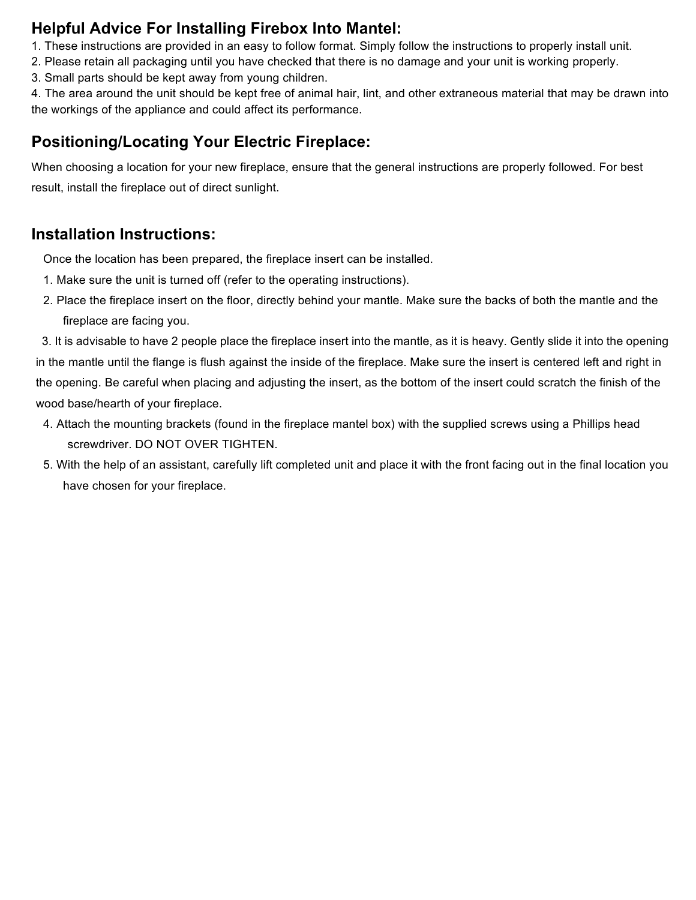## **Helpful Advice For Installing Firebox Into Mantel:**

- 1. These instructions are provided in an easy to follow format. Simply follow the instructions to properly install unit.
- 2. Please retain all packaging until you have checked that there is no damage and your unit is working properly.
- 3. Small parts should be kept away from young children.

4. The area around the unit should be kept free of animal hair, lint, and other extraneous material that may be drawn into the workings of the appliance and could affect its performance.

## **Positioning/Locating Your Electric Fireplace:**

When choosing a location for your new fireplace, ensure that the general instructions are properly followed. For best result, install the fireplace out of direct sunlight.

## **Installation Instructions:**

Once the location has been prepared, the fireplace insert can be installed.

- 1. Make sure the unit is turned off (refer to the operating instructions).
- 2. Place the fireplace insert on the floor, directly behind your mantle. Make sure the backs of both the mantle and the fireplace are facing you.

3. It is advisable to have 2 people place the fireplace insert into the mantle, as it is heavy. Gently slide it into the opening in the mantle until the flange is flush against the inside of the fireplace. Make sure the insert is centered left and right in the opening. Be careful when placing and adjusting the insert, as the bottom of the insert could scratch the finish of the wood base/hearth of your fireplace.

- 4. Attach the mounting brackets (found in the fireplace mantel box) with the supplied screws using a Phillips head screwdriver. DO NOT OVER TIGHTEN.
- 5. With the help of an assistant, carefully lift completed unit and place it with the front facing out in the final location you have chosen for your fireplace.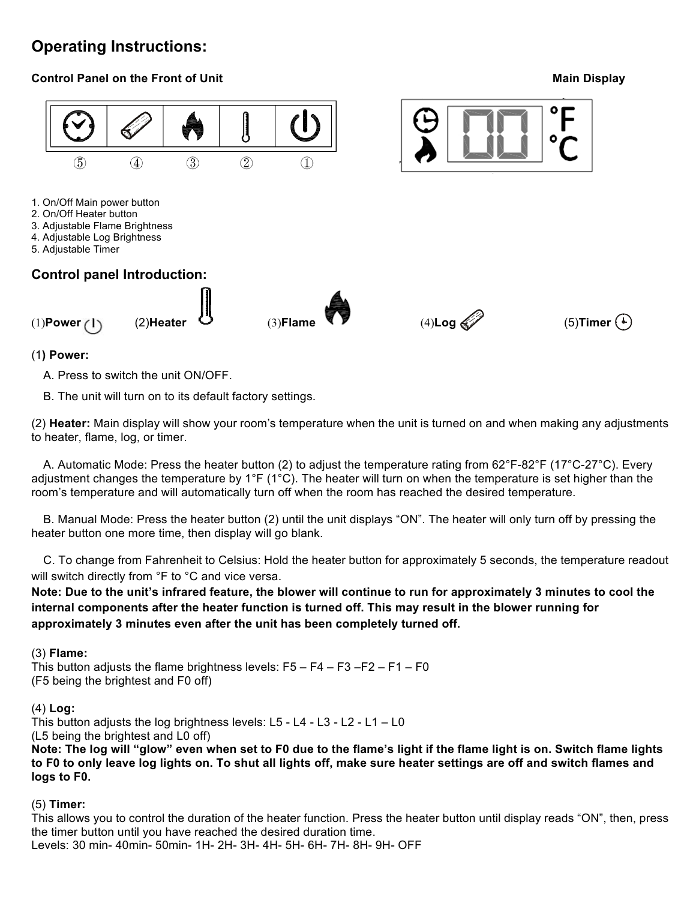## **Operating Instructions:**

#### **Control Panel on the Front of Unit Main Display of** *Lement* **Main Display Main Display**





#### (1**) Power:**

A. Press to switch the unit ON/OFF.

B. The unit will turn on to its default factory settings.

(2) **Heater:** Main display will show your room's temperature when the unit is turned on and when making any adjustments to heater, flame, log, or timer.

 A. Automatic Mode: Press the heater button (2) to adjust the temperature rating from 62°F-82°F (17°C-27°C). Every adjustment changes the temperature by 1°F (1°C). The heater will turn on when the temperature is set higher than the room's temperature and will automatically turn off when the room has reached the desired temperature.

 B. Manual Mode: Press the heater button (2) until the unit displays "ON". The heater will only turn off by pressing the heater button one more time, then display will go blank.

C. To change from Fahrenheit to Celsius: Hold the heater button for approximately 5 seconds, the temperature readout will switch directly from °F to °C and vice versa.

**Note: Due to the unit's infrared feature, the blower will continue to run for approximately 3 minutes to cool the internal components after the heater function is turned off. This may result in the blower running for approximately 3 minutes even after the unit has been completely turned off.**

#### (3) **Flame:**

This button adjusts the flame brightness levels:  $F5 - F4 - F3 - F2 - F1 - F0$ (F5 being the brightest and F0 off)

#### (4) **Log:**

This button adjusts the log brightness levels: L5 - L4 - L3 - L2 - L1 – L0

(L5 being the brightest and L0 off)

**Note: The log will "glow" even when set to F0 due to the flame's light if the flame light is on. Switch flame lights to F0 to only leave log lights on. To shut all lights off, make sure heater settings are off and switch flames and logs to F0.** 

#### (5) **Timer:**

This allows you to control the duration of the heater function. Press the heater button until display reads "ON", then, press the timer button until you have reached the desired duration time. Levels: 30 min- 40min- 50min- 1H- 2H- 3H- 4H- 5H- 6H- 7H- 8H- 9H- OFF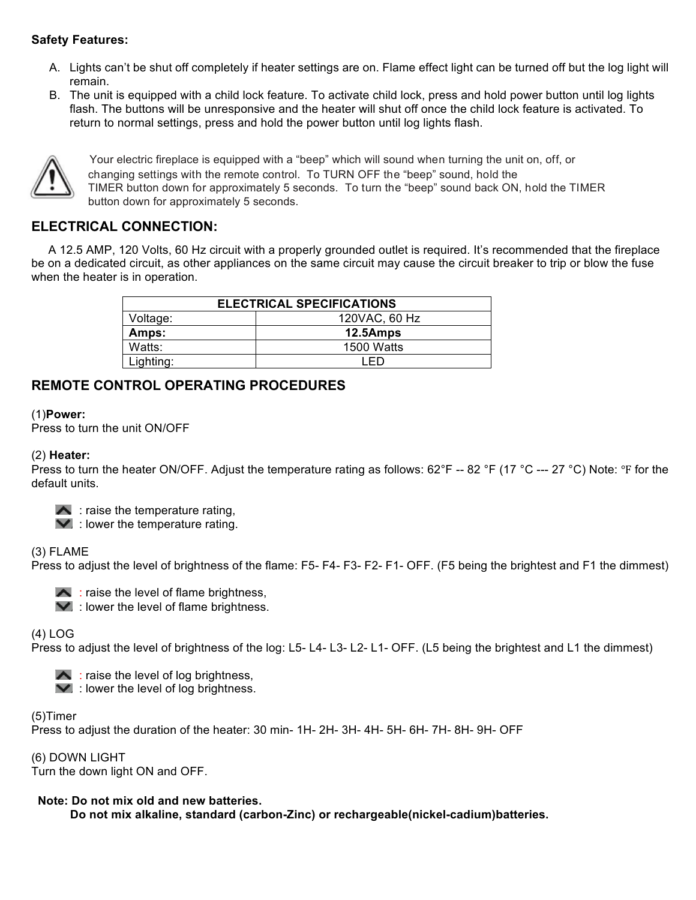#### **Safety Features:**

- A. Lights can't be shut off completely if heater settings are on. Flame effect light can be turned off but the log light will remain.
- B. The unit is equipped with a child lock feature. To activate child lock, press and hold power button until log lights flash. The buttons will be unresponsive and the heater will shut off once the child lock feature is activated. To return to normal settings, press and hold the power button until log lights flash.



Your electric fireplace is equipped with a "beep" which will sound when turning the unit on, off, or changing settings with the remote control. To TURN OFF the "beep" sound, hold the TIMER button down for approximately 5 seconds. To turn the "beep" sound back ON, hold the TIMER button down for approximately 5 seconds.

#### **ELECTRICAL CONNECTION:**

 A 12.5 AMP, 120 Volts, 60 Hz circuit with a properly grounded outlet is required. It's recommended that the fireplace be on a dedicated circuit, as other appliances on the same circuit may cause the circuit breaker to trip or blow the fuse when the heater is in operation.

| <b>ELECTRICAL SPECIFICATIONS</b> |            |  |  |
|----------------------------------|------------|--|--|
| 120VAC, 60 Hz<br>Voltage:        |            |  |  |
| Amps:                            | 12.5Amps   |  |  |
| Watts:                           | 1500 Watts |  |  |
| Lighting:                        |            |  |  |

#### **REMOTE CONTROL OPERATING PROCEDURES**

#### (1)**Power:**

Press to turn the unit ON/OFF

#### (2) **Heater:**

Press to turn the heater ON/OFF. Adjust the temperature rating as follows:  $62^{\circ}F - 82^{\circ}F (17^{\circ}C - 27^{\circ}C)$  Note:  $^{\circ}F$  for the default units.

- $\blacktriangle$ : raise the temperature rating,
- $\blacktriangleright$  : lower the temperature rating.

#### (3) FLAME

Press to adjust the level of brightness of the flame: F5- F4- F3- F2- F1- OFF. (F5 being the brightest and F1 the dimmest)



- $\blacktriangle$ : raise the level of flame brightness,
- $\blacktriangleright$  : lower the level of flame brightness.

#### (4) LOG

Press to adjust the level of brightness of the log: L5- L4- L3- L2- L1- OFF. (L5 being the brightest and L1 the dimmest)

- $\blacktriangle$ : raise the level of log brightness,
- $\blacktriangleright$  : lower the level of log brightness.

#### (5)Timer

Press to adjust the duration of the heater: 30 min- 1H- 2H- 3H- 4H- 5H- 6H- 7H- 8H- 9H- OFF

(6) DOWN LIGHT Turn the down light ON and OFF.

#### **Note: Do not mix old and new batteries.**

 **Do not mix alkaline, standard (carbon-Zinc) or rechargeable(nickel-cadium)batteries.**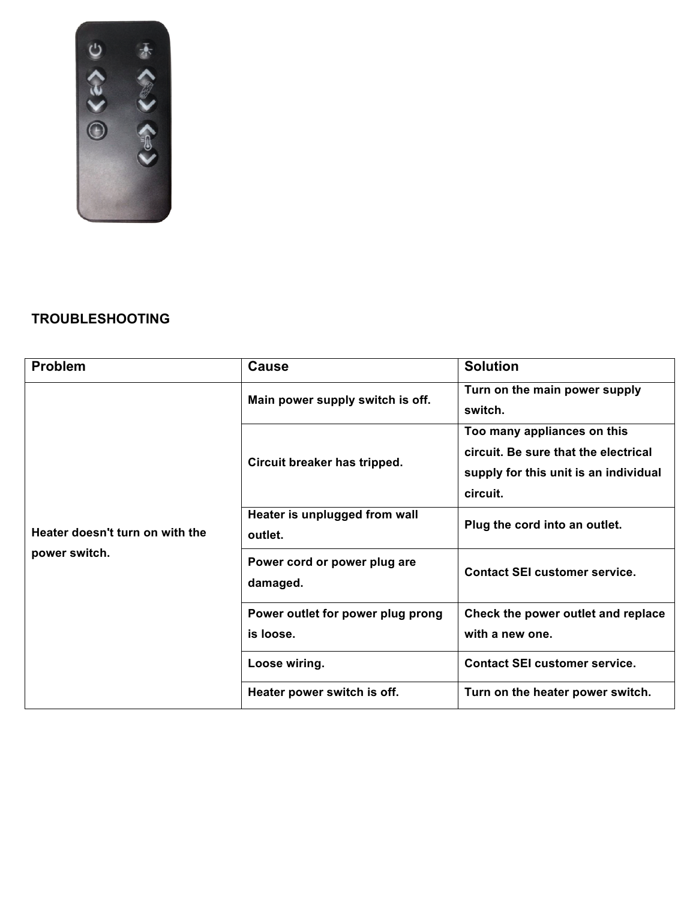

## **TROUBLESHOOTING**

| <b>Problem</b>                                   | <b>Cause</b>                                   | <b>Solution</b>                                                                                                          |  |
|--------------------------------------------------|------------------------------------------------|--------------------------------------------------------------------------------------------------------------------------|--|
| Heater doesn't turn on with the<br>power switch. | Main power supply switch is off.               | Turn on the main power supply<br>switch.                                                                                 |  |
|                                                  | Circuit breaker has tripped.                   | Too many appliances on this<br>circuit. Be sure that the electrical<br>supply for this unit is an individual<br>circuit. |  |
|                                                  | Heater is unplugged from wall<br>outlet.       | Plug the cord into an outlet.                                                                                            |  |
|                                                  | Power cord or power plug are<br>damaged.       | <b>Contact SEI customer service.</b>                                                                                     |  |
|                                                  | Power outlet for power plug prong<br>is loose. | Check the power outlet and replace<br>with a new one.                                                                    |  |
|                                                  | Loose wiring.                                  | <b>Contact SEI customer service.</b>                                                                                     |  |
|                                                  | Heater power switch is off.                    | Turn on the heater power switch.                                                                                         |  |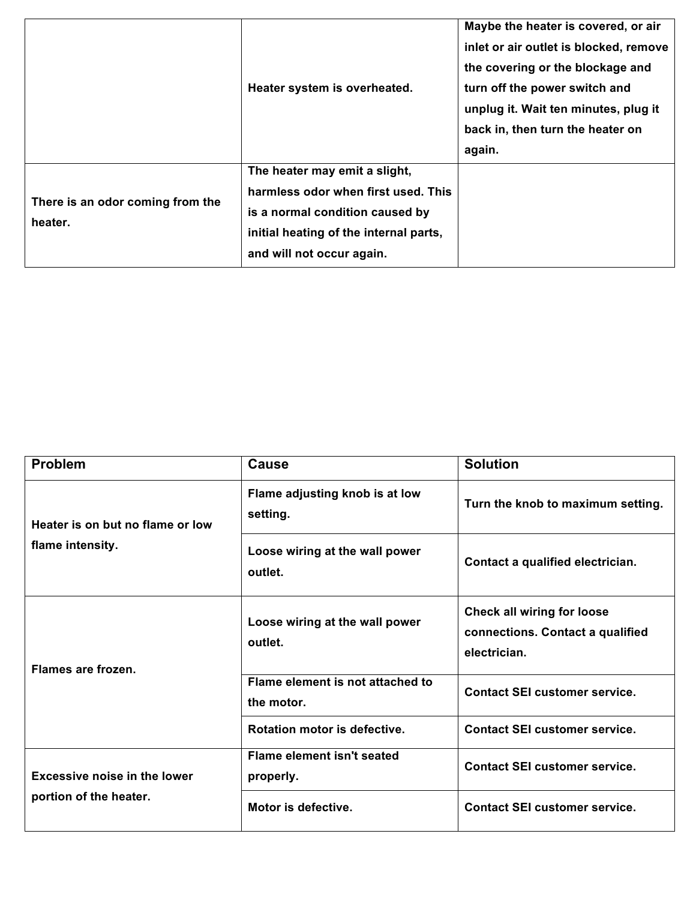|                                             | Heater system is overheated.                                                                                                                                                   | Maybe the heater is covered, or air<br>inlet or air outlet is blocked, remove<br>the covering or the blockage and<br>turn off the power switch and<br>unplug it. Wait ten minutes, plug it<br>back in, then turn the heater on<br>again. |
|---------------------------------------------|--------------------------------------------------------------------------------------------------------------------------------------------------------------------------------|------------------------------------------------------------------------------------------------------------------------------------------------------------------------------------------------------------------------------------------|
| There is an odor coming from the<br>heater. | The heater may emit a slight,<br>harmless odor when first used. This<br>is a normal condition caused by<br>initial heating of the internal parts,<br>and will not occur again. |                                                                                                                                                                                                                                          |

| <b>Problem</b>                                                | <b>Cause</b>                                   | <b>Solution</b>                                                                       |  |
|---------------------------------------------------------------|------------------------------------------------|---------------------------------------------------------------------------------------|--|
| Heater is on but no flame or low<br>flame intensity.          | Flame adjusting knob is at low<br>setting.     | Turn the knob to maximum setting.                                                     |  |
|                                                               | Loose wiring at the wall power<br>outlet.      | Contact a qualified electrician.                                                      |  |
| Flames are frozen.                                            | Loose wiring at the wall power<br>outlet.      | <b>Check all wiring for loose</b><br>connections. Contact a qualified<br>electrician. |  |
|                                                               | Flame element is not attached to<br>the motor. | <b>Contact SEI customer service.</b>                                                  |  |
|                                                               | Rotation motor is defective.                   | <b>Contact SEI customer service.</b>                                                  |  |
| <b>Excessive noise in the lower</b><br>portion of the heater. | <b>Flame element isn't seated</b><br>properly. | <b>Contact SEI customer service.</b>                                                  |  |
|                                                               | Motor is defective.                            | <b>Contact SEI customer service.</b>                                                  |  |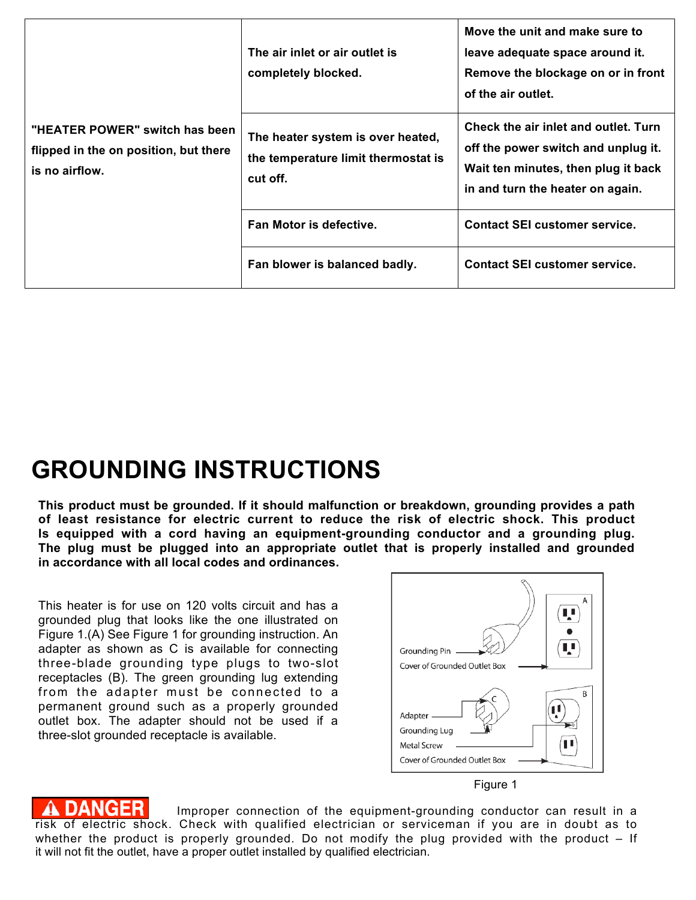| "HEATER POWER" switch has been<br>flipped in the on position, but there<br>is no airflow. | The air inlet or air outlet is<br>completely blocked.                                | Move the unit and make sure to<br>leave adequate space around it.<br>Remove the blockage on or in front<br>of the air outlet.                          |
|-------------------------------------------------------------------------------------------|--------------------------------------------------------------------------------------|--------------------------------------------------------------------------------------------------------------------------------------------------------|
|                                                                                           | The heater system is over heated,<br>the temperature limit thermostat is<br>cut off. | Check the air inlet and outlet. Turn<br>off the power switch and unplug it.<br>Wait ten minutes, then plug it back<br>in and turn the heater on again. |
|                                                                                           | Fan Motor is defective.                                                              | <b>Contact SEI customer service.</b>                                                                                                                   |
|                                                                                           | Fan blower is balanced badly.                                                        | <b>Contact SEI customer service.</b>                                                                                                                   |

# **GROUNDING INSTRUCTIONS**

**This product must be grounded. If it should malfunction or breakdown, grounding provides a path of least resistance for electric current to reduce the risk of electric shock. This product Is equipped with a cord having an equipment-grounding conductor and a grounding plug. The plug must be plugged into an appropriate outlet that is properly installed and grounded in accordance with all local codes and ordinances.**

This heater is for use on 120 volts circuit and has a grounded plug that looks like the one illustrated on Figure 1.(A) See Figure 1 for grounding instruction. An adapter as shown as C is available for connecting three-blade grounding type plugs to two-slot receptacles (B). The green grounding lug extending from the adapter must be connected to a permanent ground such as a properly grounded outlet box. The adapter should not be used if a three-slot grounded receptacle is available.



Figure 1

**DANGER** Improper connection of the equipment-grounding conductor can result in a risk of electric shock. Check with qualified electrician or serviceman if you are in doubt as to whether the product is properly grounded. Do not modify the plug provided with the product – If it will not fit the outlet, have a proper outlet installed by qualified electrician.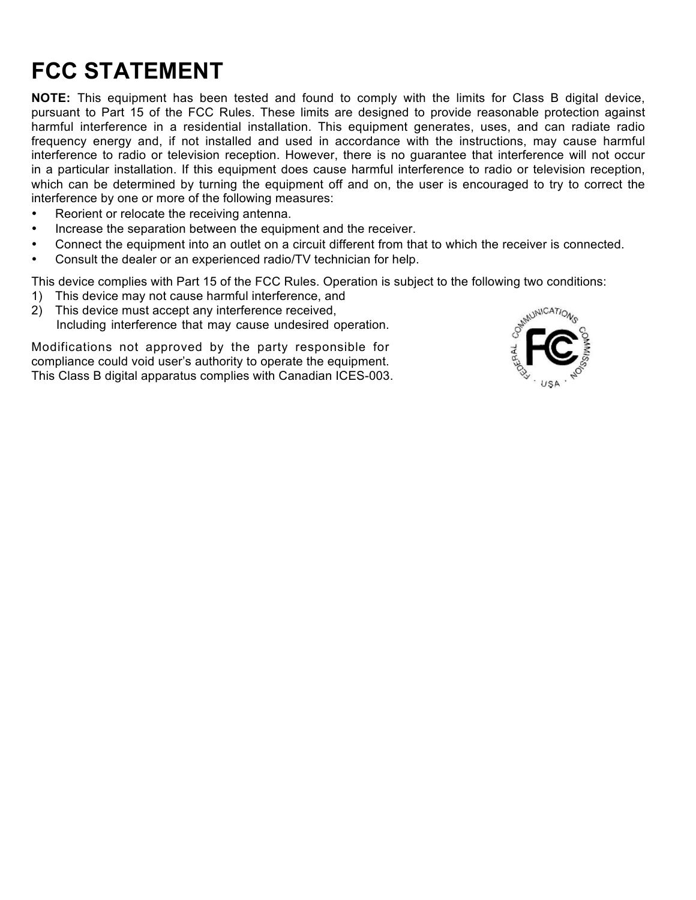# **FCC STATEMENT**

**NOTE:** This equipment has been tested and found to comply with the limits for Class B digital device, pursuant to Part 15 of the FCC Rules. These limits are designed to provide reasonable protection against harmful interference in a residential installation. This equipment generates, uses, and can radiate radio frequency energy and, if not installed and used in accordance with the instructions, may cause harmful interference to radio or television reception. However, there is no guarantee that interference will not occur in a particular installation. If this equipment does cause harmful interference to radio or television reception, which can be determined by turning the equipment off and on, the user is encouraged to try to correct the interference by one or more of the following measures:

- Reorient or relocate the receiving antenna.
- Increase the separation between the equipment and the receiver.
- Connect the equipment into an outlet on a circuit different from that to which the receiver is connected.
- Consult the dealer or an experienced radio/TV technician for help.

This device complies with Part 15 of the FCC Rules. Operation is subject to the following two conditions:

- 1) This device may not cause harmful interference, and
- 2) This device must accept any interference received, Including interference that may cause undesired operation.

Modifications not approved by the party responsible for compliance could void user's authority to operate the equipment. This Class B digital apparatus complies with Canadian ICES-003.